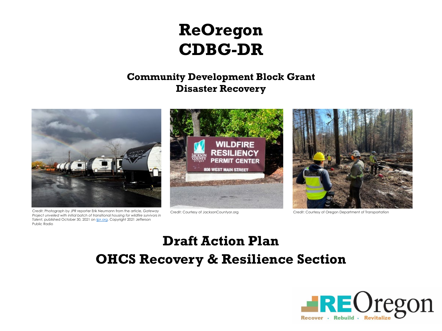# **ReOregon CDBG-DR**

### **Community Development Block Grant Disaster Recovery**

## **Draft Action Plan OHCS Recovery & Resilience Section**





Credit: Photograph by JPR reporter Erik Neumann from the article, *Gateway Project unveiled with initial batch of transitional housing for wildfire survivors in Talent*, published October 30, 2021 on [ijpr.org.](http://ijpr.org/) Copyright 2021 Jefferson Public Radio



Credit: Courtesy of JacksonCountyor.org Credit: Courtesy of Oregon Department of Transportation

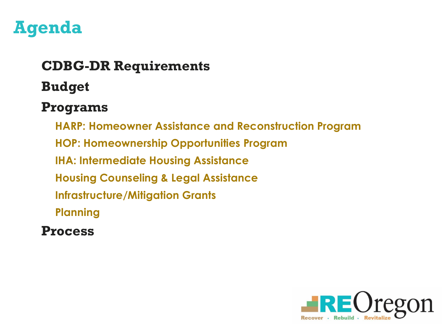

## **CDBG-DR Requirements**

**Budget**

## **Programs**

- **HARP: Homeowner Assistance and Reconstruction Program**
- **HOP: Homeownership Opportunities Program**
- **IHA: Intermediate Housing Assistance**
- **Housing Counseling & Legal Assistance**
- **Infrastructure/Mitigation Grants**
- **Planning**
- **Process**



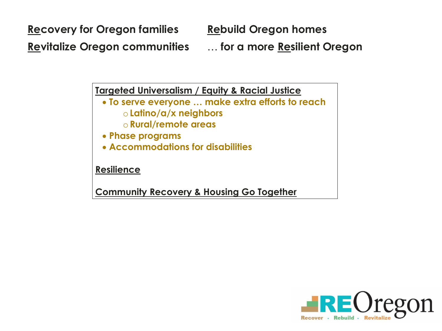**Recovery for Oregon families Rebuild Oregon homes Revitalize Oregon communities** … **for a more Resilient Oregon**

**Targeted Universalism / Equity & Racial Justice**

- **To serve everyone … make extra efforts to reach** o **Latino/a/x neighbors**
	- o **Rural/remote areas**
- **Phase programs**
- **Accommodations for disabilities**

**Resilience**

**Community Recovery & Housing Go Together**

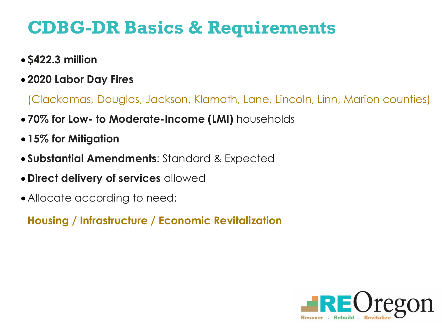# **CDBG-DR Basics & Requirements**

- **\$422.3 million**
- **2020 Labor Day Fires**

- **70% for Low- to Moderate-Income (LMI)** households
- **15% for Mitigation**
- **Substantial Amendments**: Standard & Expected
- **Direct delivery of services** allowed
- Allocate according to need:

(Clackamas, Douglas, Jackson, Klamath, Lane, Lincoln, Linn, Marion counties)

**Housing / Infrastructure / Economic Revitalization**

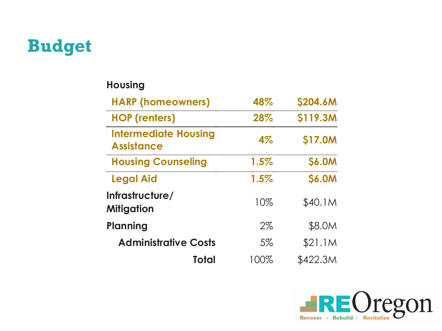

### **Housing**

| <b>HARP (homeowners)</b>                         | 48%   | \$204.6M      |
|--------------------------------------------------|-------|---------------|
| <b>HOP (renters)</b>                             | 28%   | \$119.3M      |
| <b>Intermediate Housing</b><br><b>Assistance</b> | 4%    | \$17.0M       |
| <b>Housing Counseling</b>                        | 1.5%  | <b>\$6.0M</b> |
| <b>Legal Aid</b>                                 | 1.5%  | <b>\$6.0M</b> |
| Infrastructure/<br>Mitigation                    | 10%   | \$40.1M       |
| Planning                                         | $2\%$ | \$8.0M        |
| <b>Administrative Costs</b>                      | 5%    | \$21.1M       |
| Total                                            | 100%  | \$422.3M      |

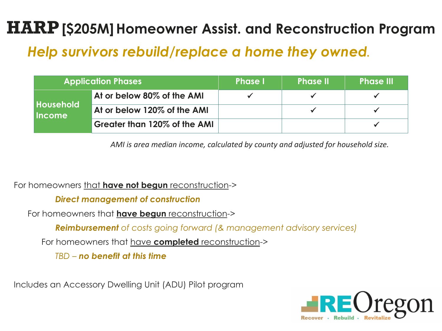# **HARP** [\$205M] Homeowner Assist. and Reconstruction Program

## *Help survivors rebuild/replace a home they owned.*

*AMI is area median income, calculated by county and adjusted for household size.*

For homeowners that **have not begun** reconstruction->

*Direct management of construction*

For homeowners that **have begun** reconstruction->

*Reimbursement of costs going forward (& management advisory services)*

For homeowners that have **completed** reconstruction->

*TBD – no benefit at this time*

Includes an Accessory Dwelling Unit (ADU) Pilot program







|                                   | <b>Application Phases</b>    | <b>Phase</b> I | <b>Phase II</b> | <b>Phase III</b> |
|-----------------------------------|------------------------------|----------------|-----------------|------------------|
| <b>Household</b><br><b>Income</b> | At or below 80% of the AMI   |                |                 |                  |
|                                   | At or below 120% of the AMI  |                |                 |                  |
|                                   | Greater than 120% of the AMI |                |                 |                  |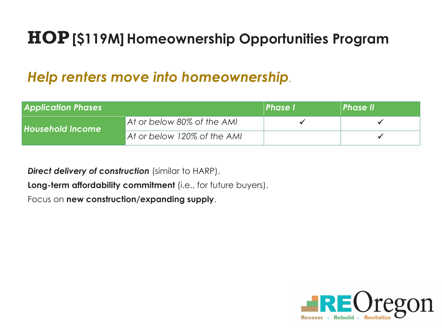# **HOP[\$119M] Homeownership Opportunities Program**

## *Help renters move into homeownership.*

*Direct delivery of construction* (similar to HARP).

**Long-term affordability commitment** (i.e., for future buyers).

Focus on **new construction/expanding supply**.







| <b>Application Phases</b> |                             | <b>Phase I</b> | <b>Phase II</b> |
|---------------------------|-----------------------------|----------------|-----------------|
| <b>Household Income</b>   | At or below 80% of the AMI  |                |                 |
|                           | At or below 120% of the AMI |                |                 |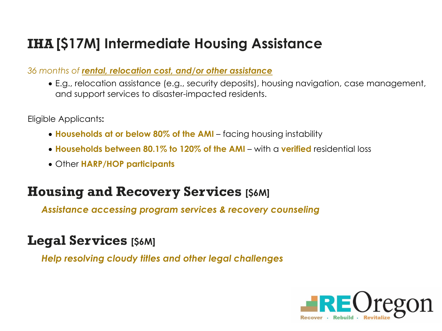## **IHA [\$17M] Intermediate Housing Assistance**

*36 months of rental, relocation cost, and/or other assistance*

• E.g., relocation assistance (e.g., security deposits), housing navigation, case management, and support services to disaster-impacted residents.

Eligible Applicants**:** 

- **Households at or below 80% of the AMI** facing housing instability
- **Households between 80.1% to 120% of the AMI** with a **verified** residential loss
- Other **HARP/HOP participants**

## **Housing and Recovery Services [\$6M]**

*Assistance accessing program services & recovery counseling*

## **Legal Services [\$6M]**

*Help resolving cloudy titles and other legal challenges*

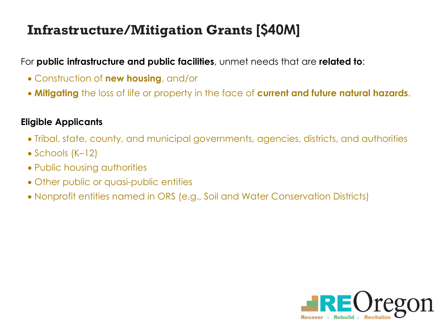## **Infrastructure/Mitigation Grants [\$40M]**

For **public infrastructure and public facilities**, unmet needs that are **related to**:

- Construction of **new housing**, and/or
- **Mitigating** the loss of life or property in the face of **current and future natural hazards**.

### **Eligible Applicants**

- Tribal, state, county, and municipal governments, agencies, districts, and authorities
- Schools (K–12)
- Public housing authorities
- Other public or quasi-public entities
- Nonprofit entities named in ORS (e.g., Soil and Water Conservation Districts)

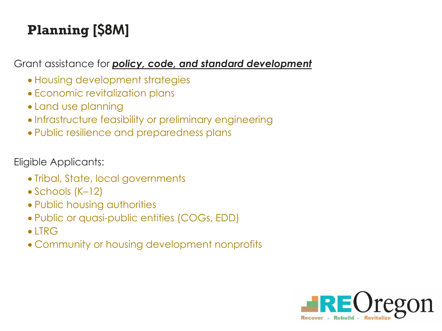# **Planning [\$8M]**

Grant assistance for *policy, code, and standard development*

- Housing development strategies
- Economic revitalization plans
- Land use planning
- Infrastructure feasibility or preliminary engineering
- Public resilience and preparedness plans

Eligible Applicants:

- Tribal, State, local governments
- Schools (K–12)
- Public housing authorities
- Public or quasi-public entities (COGs, EDD)
- LTRG
- Community or housing development nonprofits